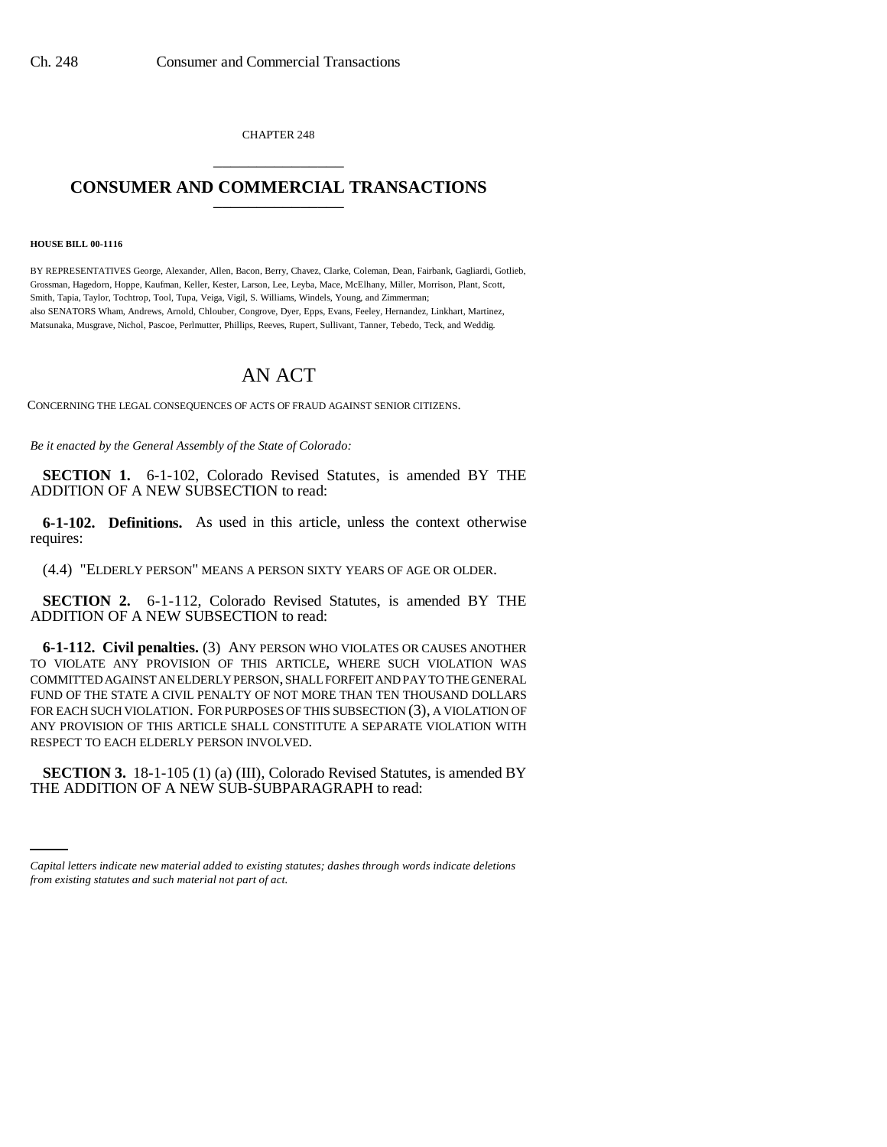CHAPTER 248 \_\_\_\_\_\_\_\_\_\_\_\_\_\_\_

## **CONSUMER AND COMMERCIAL TRANSACTIONS** \_\_\_\_\_\_\_\_\_\_\_\_\_\_\_

**HOUSE BILL 00-1116** 

BY REPRESENTATIVES George, Alexander, Allen, Bacon, Berry, Chavez, Clarke, Coleman, Dean, Fairbank, Gagliardi, Gotlieb, Grossman, Hagedorn, Hoppe, Kaufman, Keller, Kester, Larson, Lee, Leyba, Mace, McElhany, Miller, Morrison, Plant, Scott, Smith, Tapia, Taylor, Tochtrop, Tool, Tupa, Veiga, Vigil, S. Williams, Windels, Young, and Zimmerman; also SENATORS Wham, Andrews, Arnold, Chlouber, Congrove, Dyer, Epps, Evans, Feeley, Hernandez, Linkhart, Martinez, Matsunaka, Musgrave, Nichol, Pascoe, Perlmutter, Phillips, Reeves, Rupert, Sullivant, Tanner, Tebedo, Teck, and Weddig.

## AN ACT

CONCERNING THE LEGAL CONSEQUENCES OF ACTS OF FRAUD AGAINST SENIOR CITIZENS.

*Be it enacted by the General Assembly of the State of Colorado:*

**SECTION 1.** 6-1-102, Colorado Revised Statutes, is amended BY THE ADDITION OF A NEW SUBSECTION to read:

**6-1-102. Definitions.** As used in this article, unless the context otherwise requires:

(4.4) "ELDERLY PERSON" MEANS A PERSON SIXTY YEARS OF AGE OR OLDER.

**SECTION 2.** 6-1-112, Colorado Revised Statutes, is amended BY THE ADDITION OF A NEW SUBSECTION to read:

**6-1-112. Civil penalties.** (3) ANY PERSON WHO VIOLATES OR CAUSES ANOTHER TO VIOLATE ANY PROVISION OF THIS ARTICLE, WHERE SUCH VIOLATION WAS COMMITTED AGAINST AN ELDERLY PERSON, SHALL FORFEIT AND PAY TO THE GENERAL FUND OF THE STATE A CIVIL PENALTY OF NOT MORE THAN TEN THOUSAND DOLLARS FOR EACH SUCH VIOLATION. FOR PURPOSES OF THIS SUBSECTION (3), A VIOLATION OF ANY PROVISION OF THIS ARTICLE SHALL CONSTITUTE A SEPARATE VIOLATION WITH RESPECT TO EACH ELDERLY PERSON INVOLVED.

 **SECTION 3.** 18-1-105 (1) (a) (III), Colorado Revised Statutes, is amended BY THE ADDITION OF A NEW SUB-SUBPARAGRAPH to read:

*Capital letters indicate new material added to existing statutes; dashes through words indicate deletions from existing statutes and such material not part of act.*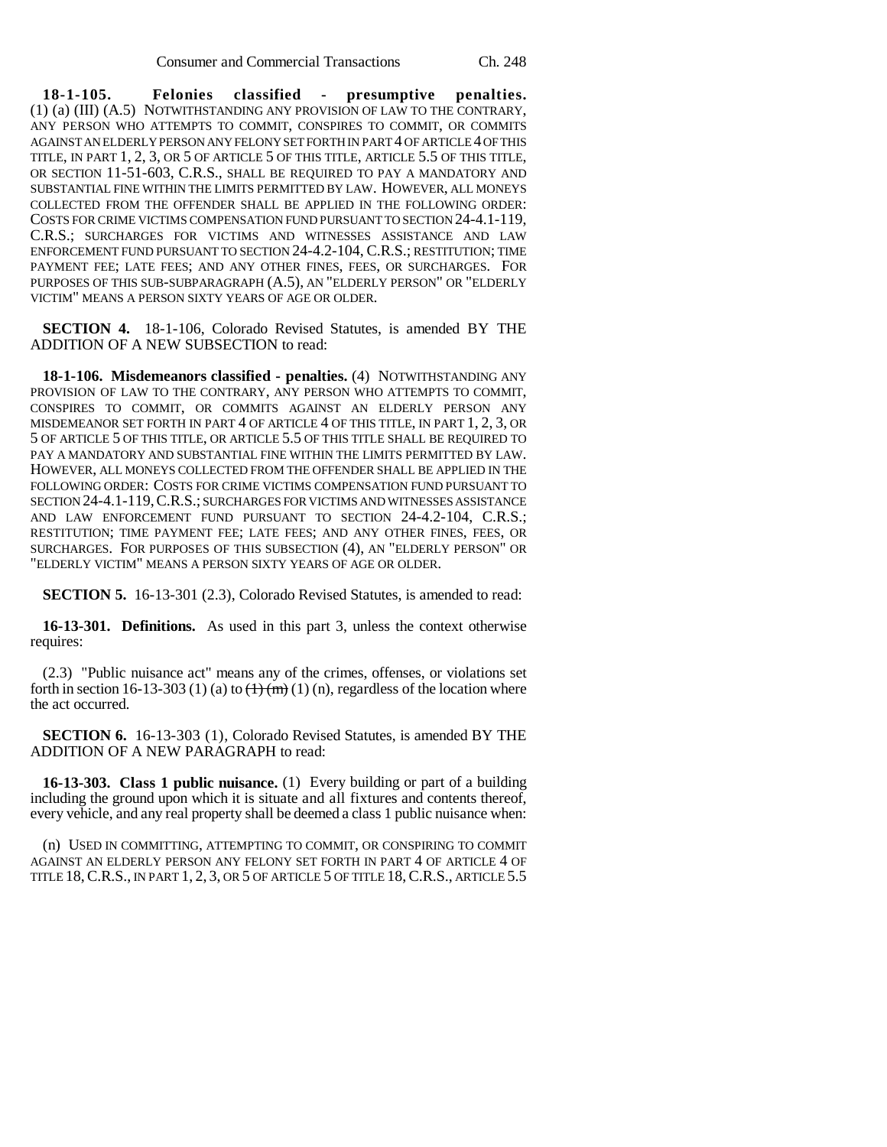**18-1-105. Felonies classified - presumptive penalties.** (1) (a) (III) (A.5) NOTWITHSTANDING ANY PROVISION OF LAW TO THE CONTRARY, ANY PERSON WHO ATTEMPTS TO COMMIT, CONSPIRES TO COMMIT, OR COMMITS AGAINST AN ELDERLY PERSON ANY FELONY SET FORTH IN PART 4 OF ARTICLE 4 OF THIS TITLE, IN PART 1, 2, 3, OR 5 OF ARTICLE 5 OF THIS TITLE, ARTICLE 5.5 OF THIS TITLE, OR SECTION 11-51-603, C.R.S., SHALL BE REQUIRED TO PAY A MANDATORY AND SUBSTANTIAL FINE WITHIN THE LIMITS PERMITTED BY LAW. HOWEVER, ALL MONEYS COLLECTED FROM THE OFFENDER SHALL BE APPLIED IN THE FOLLOWING ORDER: COSTS FOR CRIME VICTIMS COMPENSATION FUND PURSUANT TO SECTION 24-4.1-119, C.R.S.; SURCHARGES FOR VICTIMS AND WITNESSES ASSISTANCE AND LAW ENFORCEMENT FUND PURSUANT TO SECTION 24-4.2-104, C.R.S.; RESTITUTION; TIME PAYMENT FEE; LATE FEES; AND ANY OTHER FINES, FEES, OR SURCHARGES. FOR PURPOSES OF THIS SUB-SUBPARAGRAPH (A.5), AN "ELDERLY PERSON" OR "ELDERLY VICTIM" MEANS A PERSON SIXTY YEARS OF AGE OR OLDER.

**SECTION 4.** 18-1-106, Colorado Revised Statutes, is amended BY THE ADDITION OF A NEW SUBSECTION to read:

**18-1-106. Misdemeanors classified - penalties.** (4) NOTWITHSTANDING ANY PROVISION OF LAW TO THE CONTRARY, ANY PERSON WHO ATTEMPTS TO COMMIT, CONSPIRES TO COMMIT, OR COMMITS AGAINST AN ELDERLY PERSON ANY MISDEMEANOR SET FORTH IN PART 4 OF ARTICLE 4 OF THIS TITLE, IN PART 1, 2, 3, OR 5 OF ARTICLE 5 OF THIS TITLE, OR ARTICLE 5.5 OF THIS TITLE SHALL BE REQUIRED TO PAY A MANDATORY AND SUBSTANTIAL FINE WITHIN THE LIMITS PERMITTED BY LAW. HOWEVER, ALL MONEYS COLLECTED FROM THE OFFENDER SHALL BE APPLIED IN THE FOLLOWING ORDER: COSTS FOR CRIME VICTIMS COMPENSATION FUND PURSUANT TO SECTION 24-4.1-119,C.R.S.; SURCHARGES FOR VICTIMS AND WITNESSES ASSISTANCE AND LAW ENFORCEMENT FUND PURSUANT TO SECTION 24-4.2-104, C.R.S.; RESTITUTION; TIME PAYMENT FEE; LATE FEES; AND ANY OTHER FINES, FEES, OR SURCHARGES. FOR PURPOSES OF THIS SUBSECTION (4), AN "ELDERLY PERSON" OR "ELDERLY VICTIM" MEANS A PERSON SIXTY YEARS OF AGE OR OLDER.

**SECTION 5.** 16-13-301 (2.3), Colorado Revised Statutes, is amended to read:

**16-13-301. Definitions.** As used in this part 3, unless the context otherwise requires:

(2.3) "Public nuisance act" means any of the crimes, offenses, or violations set forth in section 16-13-303 (1) (a) to  $\left(\frac{1}{m}\right)$  (1) (n), regardless of the location where the act occurred.

**SECTION 6.** 16-13-303 (1), Colorado Revised Statutes, is amended BY THE ADDITION OF A NEW PARAGRAPH to read:

**16-13-303. Class 1 public nuisance.** (1) Every building or part of a building including the ground upon which it is situate and all fixtures and contents thereof, every vehicle, and any real property shall be deemed a class 1 public nuisance when:

(n) USED IN COMMITTING, ATTEMPTING TO COMMIT, OR CONSPIRING TO COMMIT AGAINST AN ELDERLY PERSON ANY FELONY SET FORTH IN PART 4 OF ARTICLE 4 OF TITLE 18,C.R.S., IN PART 1, 2, 3, OR 5 OF ARTICLE 5 OF TITLE 18,C.R.S., ARTICLE 5.5